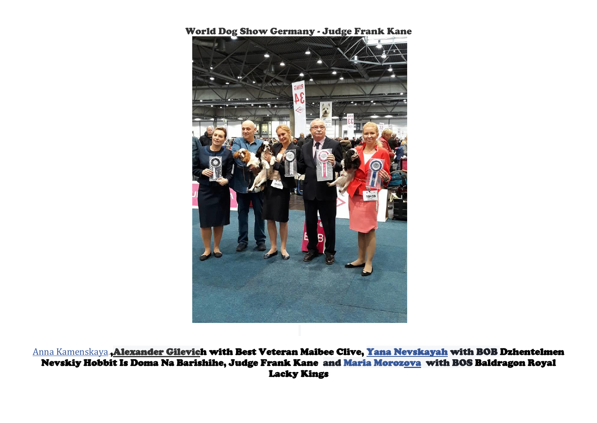## World Dog Show Germany - Judge Frank Kane

[Anna Kamenskaya.](https://www.facebook.com/anna.v.kamenskaya?hc_ref=ARRJmL9WtaZeabUOnePTp_FgdepatpO7wtANxIJue5sQv5HSgYceLLT5wRpaTgzfdWM)[,Alexander Gilevich](https://www.facebook.com/profile.php?id=100005362482048&fref=gc&dti=133740070119195&hc_location=ufi) with Best Veteran Maibee Clive, [Yana Nevskaya](https://www.facebook.com/yana.nevskaya.7?fref=gc&dti=133740070119195&hc_location=ufi)[h](https://www.facebook.com/profile.php?id=100005362482048&fref=gc&dti=133740070119195&hc_location=ufi) with BOB Dzhentelmen Nevskiy Hobbit Is Doma Na Barishihe, Judge Frank Kane and [Maria Morozova](https://www.facebook.com/profile.php?id=100004484735239&fref=gc&dti=133740070119195&hc_location=ufi) with BOS Baldragon Royal Lacky Kings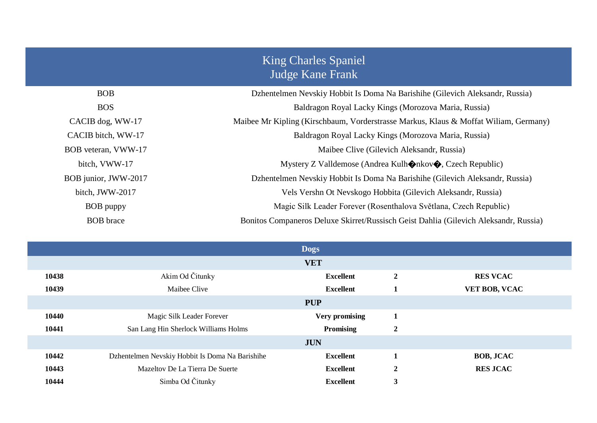## King Charles Spaniel Judge Kane Frank

| <b>BOB</b>           | Dzhentelmen Nevskiy Hobbit Is Doma Na Barishihe (Gilevich Aleksandr, Russia)         |
|----------------------|--------------------------------------------------------------------------------------|
| <b>BOS</b>           | Baldragon Royal Lacky Kings (Morozova Maria, Russia)                                 |
| CACIB dog, WW-17     | Maibee Mr Kipling (Kirschbaum, Vorderstrasse Markus, Klaus & Moffat Wiliam, Germany) |
| CACIB bitch, WW-17   | Baldragon Royal Lacky Kings (Morozova Maria, Russia)                                 |
| BOB veteran, VWW-17  | Maibee Clive (Gilevich Aleksandr, Russia)                                            |
| bitch, VWW-17        | Mystery Z Valldemose (Andrea Kulh $\Diamond$ nkov $\Diamond$ , Czech Republic)       |
| BOB junior, JWW-2017 | Dzhentelmen Nevskiy Hobbit Is Doma Na Barishihe (Gilevich Aleksandr, Russia)         |
| bitch, JWW-2017      | Vels Vershn Ot Nevskogo Hobbita (Gilevich Aleksandr, Russia)                         |
| <b>BOB</b> puppy     | Magic Silk Leader Forever (Rosenthalova Světlana, Czech Republic)                    |
| <b>BOB</b> brace     | Bonitos Companeros Deluxe Skirret/Russisch Geist Dahlia (Gilevich Aleksandr, Russia) |

| <b>Dogs</b> |                                                 |                       |                  |                  |  |  |  |
|-------------|-------------------------------------------------|-----------------------|------------------|------------------|--|--|--|
| <b>VET</b>  |                                                 |                       |                  |                  |  |  |  |
| 10438       | Akim Od Čitunky                                 | <b>Excellent</b>      | $\boldsymbol{2}$ | <b>RES VCAC</b>  |  |  |  |
| 10439       | Maibee Clive                                    | <b>Excellent</b>      | 1                | VET BOB, VCAC    |  |  |  |
| <b>PUP</b>  |                                                 |                       |                  |                  |  |  |  |
| 10440       | Magic Silk Leader Forever                       | <b>Very promising</b> | 1                |                  |  |  |  |
| 10441       | San Lang Hin Sherlock Williams Holms            | <b>Promising</b>      | $\boldsymbol{2}$ |                  |  |  |  |
| <b>JUN</b>  |                                                 |                       |                  |                  |  |  |  |
| 10442       | Dzhentelmen Nevskiy Hobbit Is Doma Na Barishihe | <b>Excellent</b>      |                  | <b>BOB, JCAC</b> |  |  |  |
| 10443       | Mazeltov De La Tierra De Suerte                 | <b>Excellent</b>      | $\boldsymbol{2}$ | <b>RES JCAC</b>  |  |  |  |
| 10444       | Simba Od Čitunky                                | <b>Excellent</b>      | 3                |                  |  |  |  |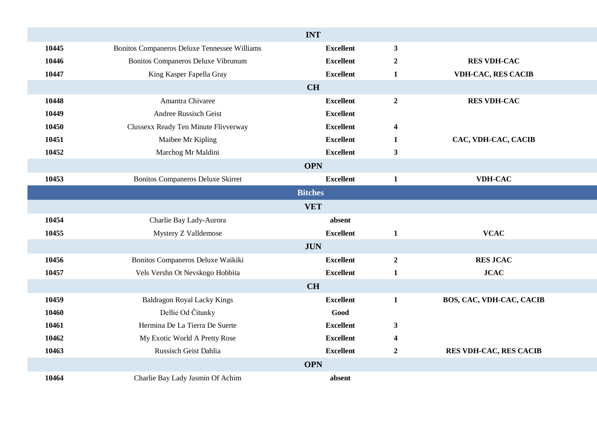| <b>INT</b>     |                                              |                  |                         |                                 |  |  |  |  |
|----------------|----------------------------------------------|------------------|-------------------------|---------------------------------|--|--|--|--|
| 10445          | Bonitos Companeros Deluxe Tennessee Williams | <b>Excellent</b> | $\mathbf{3}$            |                                 |  |  |  |  |
| 10446          | Bonitos Companeros Deluxe Vibrunum           | <b>Excellent</b> | $\boldsymbol{2}$        | <b>RES VDH-CAC</b>              |  |  |  |  |
| 10447          | King Kasper Fapella Gray                     | <b>Excellent</b> | $\mathbf{1}$            | <b>VDH-CAC, RES CACIB</b>       |  |  |  |  |
| <b>CH</b>      |                                              |                  |                         |                                 |  |  |  |  |
| 10448          | Amantra Chivaree                             | <b>Excellent</b> | $\boldsymbol{2}$        | <b>RES VDH-CAC</b>              |  |  |  |  |
| 10449          | Andree Russisch Geist                        | <b>Excellent</b> |                         |                                 |  |  |  |  |
| 10450          | Clussexx Ready Ten Minute Flivverway         | <b>Excellent</b> | $\boldsymbol{4}$        |                                 |  |  |  |  |
| 10451          | Maibee Mr Kipling                            | <b>Excellent</b> | $\mathbf{1}$            | CAC, VDH-CAC, CACIB             |  |  |  |  |
| 10452          | Marchog Mr Maldini                           | <b>Excellent</b> | $\mathbf{3}$            |                                 |  |  |  |  |
| <b>OPN</b>     |                                              |                  |                         |                                 |  |  |  |  |
| 10453          | <b>Bonitos Companeros Deluxe Skirret</b>     | <b>Excellent</b> | $\mathbf{1}$            | <b>VDH-CAC</b>                  |  |  |  |  |
| <b>Bitches</b> |                                              |                  |                         |                                 |  |  |  |  |
|                |                                              | <b>VET</b>       |                         |                                 |  |  |  |  |
| 10454          | Charlie Bay Lady-Aurora                      | absent           |                         |                                 |  |  |  |  |
| 10455          | Mystery Z Valldemose                         | <b>Excellent</b> | $\mathbf{1}$            | <b>VCAC</b>                     |  |  |  |  |
|                |                                              | <b>JUN</b>       |                         |                                 |  |  |  |  |
| 10456          | Bonitos Companeros Deluxe Waikiki            | <b>Excellent</b> | $\overline{2}$          | <b>RES JCAC</b>                 |  |  |  |  |
| 10457          | Vels Vershn Ot Nevskogo Hobbita              | <b>Excellent</b> | $\mathbf{1}$            | <b>JCAC</b>                     |  |  |  |  |
|                |                                              | <b>CH</b>        |                         |                                 |  |  |  |  |
| 10459          | <b>Baldragon Royal Lacky Kings</b>           | <b>Excellent</b> | $\mathbf{1}$            | <b>BOS, CAC, VDH-CAC, CACIB</b> |  |  |  |  |
| 10460          | Dellie Od Čitunky                            | Good             |                         |                                 |  |  |  |  |
| 10461          | Hermina De La Tierra De Suerte               | <b>Excellent</b> | $\mathbf{3}$            |                                 |  |  |  |  |
| 10462          | My Exotic World A Pretty Rose                | <b>Excellent</b> | $\overline{\mathbf{4}}$ |                                 |  |  |  |  |
| 10463          | Russisch Geist Dahlia                        | <b>Excellent</b> | $\boldsymbol{2}$        | <b>RES VDH-CAC, RES CACIB</b>   |  |  |  |  |
| <b>OPN</b>     |                                              |                  |                         |                                 |  |  |  |  |
| 10464          | Charlie Bay Lady Jasmin Of Achim             | absent           |                         |                                 |  |  |  |  |